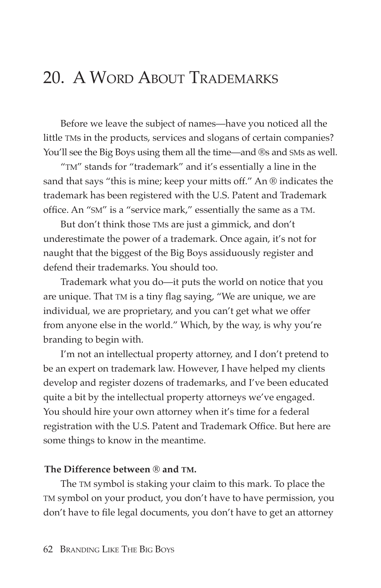## 20. A WORD ABOUT TRADEMARKS

Before we leave the subject of names—have you noticed all the little TMs in the products, services and slogans of certain companies? You'll see the Big Boys using them all the time—and ®s and SMs as well.

"TM" stands for "trademark" and it's essentially a line in the sand that says "this is mine; keep your mitts off." An ® indicates the trademark has been registered with the U.S. Patent and Trademark office. An "SM" is a "service mark," essentially the same as a TM.

But don't think those TMs are just a gimmick, and don't underestimate the power of a trademark. Once again, it's not for naught that the biggest of the Big Boys assiduously register and defend their trademarks. You should too.

Trademark what you do—it puts the world on notice that you are unique. That TM is a tiny flag saying, "We are unique, we are individual, we are proprietary, and you can't get what we offer from anyone else in the world." Which, by the way, is why you're branding to begin with.

I'm not an intellectual property attorney, and I don't pretend to be an expert on trademark law. However, I have helped my clients develop and register dozens of trademarks, and I've been educated quite a bit by the intellectual property attorneys we've engaged. You should hire your own attorney when it's time for a federal registration with the U.S. Patent and Trademark Office. But here are some things to know in the meantime.

## **The Difference between ® and TM.**

The TM symbol is staking your claim to this mark. To place the TM symbol on your product, you don't have to have permission, you don't have to file legal documents, you don't have to get an attorney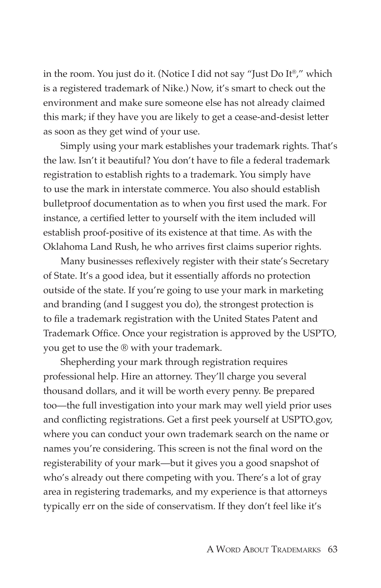in the room. You just do it. (Notice I did not say "Just Do It®," which is a registered trademark of Nike.) Now, it's smart to check out the environment and make sure someone else has not already claimed this mark; if they have you are likely to get a cease-and-desist letter as soon as they get wind of your use.

Simply using your mark establishes your trademark rights. That's the law. Isn't it beautiful? You don't have to file a federal trademark registration to establish rights to a trademark. You simply have to use the mark in interstate commerce. You also should establish bulletproof documentation as to when you first used the mark. For instance, a certified letter to yourself with the item included will establish proof-positive of its existence at that time. As with the Oklahoma Land Rush, he who arrives first claims superior rights.

Many businesses reflexively register with their state's Secretary of State. It's a good idea, but it essentially affords no protection outside of the state. If you're going to use your mark in marketing and branding (and I suggest you do), the strongest protection is to file a trademark registration with the United States Patent and Trademark Office. Once your registration is approved by the USPTO, you get to use the ® with your trademark.

Shepherding your mark through registration requires professional help. Hire an attorney. They'll charge you several thousand dollars, and it will be worth every penny. Be prepared too—the full investigation into your mark may well yield prior uses and conflicting registrations. Get a first peek yourself at USPTO.gov, where you can conduct your own trademark search on the name or names you're considering. This screen is not the final word on the registerability of your mark—but it gives you a good snapshot of who's already out there competing with you. There's a lot of gray area in registering trademarks, and my experience is that attorneys typically err on the side of conservatism. If they don't feel like it's